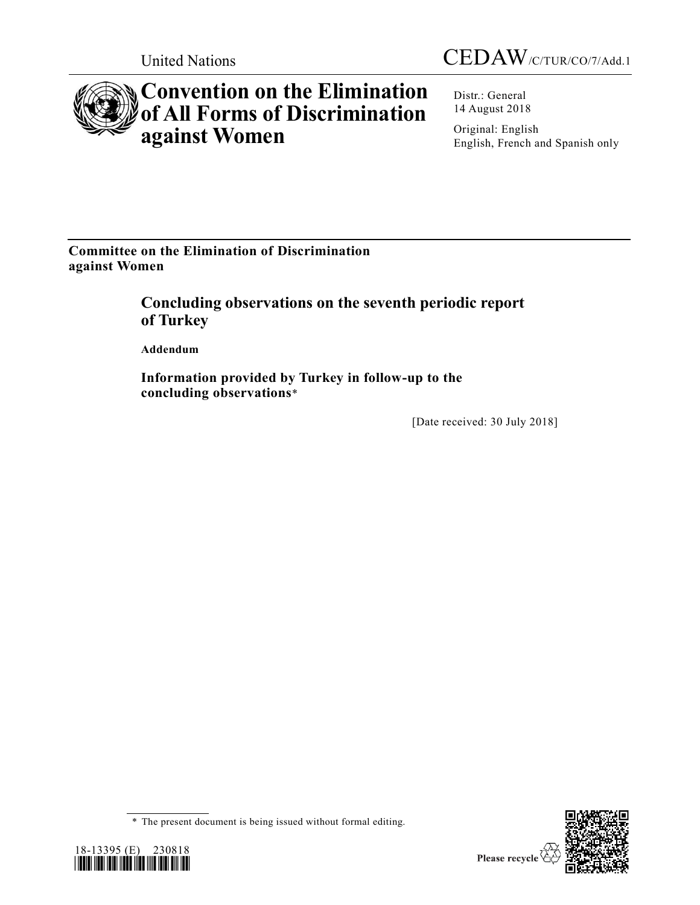



# **Convention on the Elimination of All Forms of Discrimination against Women**

Distr.: General 14 August 2018

Original: English English, French and Spanish only

**Committee on the Elimination of Discrimination against Women** 

> **Concluding observations on the seventh periodic report of Turkey**

**Addendum**

**Information provided by Turkey in follow-up to the concluding observations**\*

[Date received: 30 July 2018]

<sup>\*</sup> The present document is being issued without formal editing.



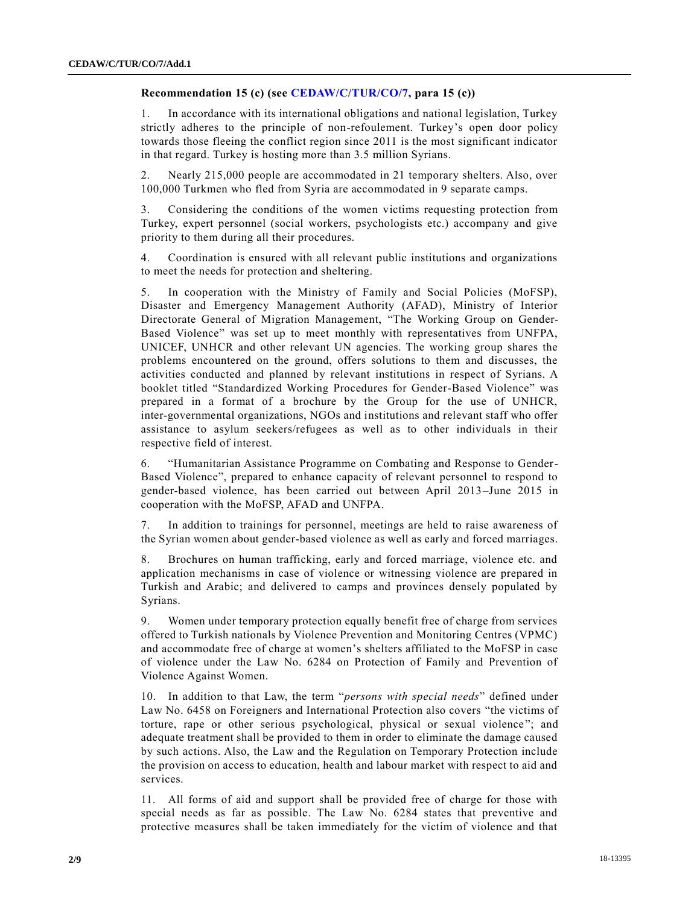## **Recommendation 15 (c) (see [CEDAW/C/TUR/CO/7,](https://undocs.org/CEDAW/C/TUR/CO/7) para 15 (c))**

1. In accordance with its international obligations and national legislation, Turkey strictly adheres to the principle of non-refoulement. Turkey's open door policy towards those fleeing the conflict region since 2011 is the most significant indicator in that regard. Turkey is hosting more than 3.5 million Syrians.

2. Nearly 215,000 people are accommodated in 21 temporary shelters. Also, over 100,000 Turkmen who fled from Syria are accommodated in 9 separate camps.

3. Considering the conditions of the women victims requesting protection from Turkey, expert personnel (social workers, psychologists etc.) accompany and give priority to them during all their procedures.

4. Coordination is ensured with all relevant public institutions and organizations to meet the needs for protection and sheltering.

5. In cooperation with the Ministry of Family and Social Policies (MoFSP), Disaster and Emergency Management Authority (AFAD), Ministry of Interior Directorate General of Migration Management, "The Working Group on Gender-Based Violence" was set up to meet monthly with representatives from UNFPA, UNICEF, UNHCR and other relevant UN agencies. The working group shares the problems encountered on the ground, offers solutions to them and discusses, the activities conducted and planned by relevant institutions in respect of Syrians. A booklet titled "Standardized Working Procedures for Gender-Based Violence" was prepared in a format of a brochure by the Group for the use of UNHCR, inter-governmental organizations, NGOs and institutions and relevant staff who offer assistance to asylum seekers/refugees as well as to other individuals in their respective field of interest.

6. "Humanitarian Assistance Programme on Combating and Response to Gender-Based Violence", prepared to enhance capacity of relevant personnel to respond to gender-based violence, has been carried out between April 2013–June 2015 in cooperation with the MoFSP, AFAD and UNFPA.

7. In addition to trainings for personnel, meetings are held to raise awareness of the Syrian women about gender-based violence as well as early and forced marriages.

8. Brochures on human trafficking, early and forced marriage, violence etc. and application mechanisms in case of violence or witnessing violence are prepared in Turkish and Arabic; and delivered to camps and provinces densely populated by Syrians.

9. Women under temporary protection equally benefit free of charge from services offered to Turkish nationals by Violence Prevention and Monitoring Centres (VPMC) and accommodate free of charge at women's shelters affiliated to the MoFSP in case of violence under the Law No. 6284 on Protection of Family and Prevention of Violence Against Women.

10. In addition to that Law, the term "*persons with special needs*" defined under Law No. 6458 on Foreigners and International Protection also covers "the victims of torture, rape or other serious psychological, physical or sexual violence "; and adequate treatment shall be provided to them in order to eliminate the damage caused by such actions. Also, the Law and the Regulation on Temporary Protection include the provision on access to education, health and labour market with respect to aid and services.

11. All forms of aid and support shall be provided free of charge for those with special needs as far as possible. The Law No. 6284 states that preventive and protective measures shall be taken immediately for the victim of violence and that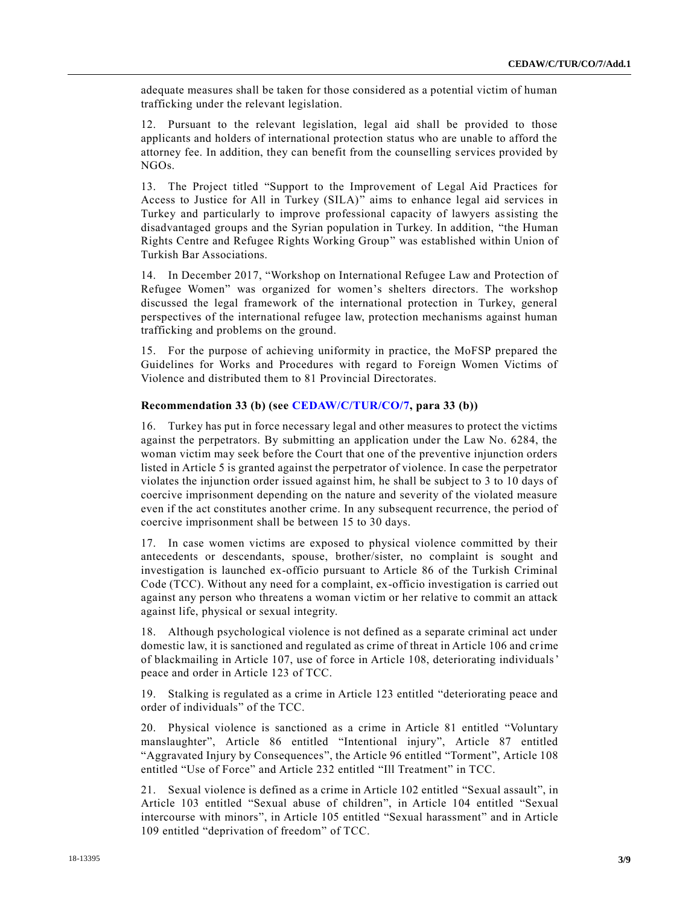adequate measures shall be taken for those considered as a potential victim of human trafficking under the relevant legislation.

12. Pursuant to the relevant legislation, legal aid shall be provided to those applicants and holders of international protection status who are unable to afford the attorney fee. In addition, they can benefit from the counselling services provided by NGOs.

13. The Project titled "Support to the Improvement of Legal Aid Practices for Access to Justice for All in Turkey (SILA)" aims to enhance legal aid services in Turkey and particularly to improve professional capacity of lawyers assisting the disadvantaged groups and the Syrian population in Turkey. In addition, "the Human Rights Centre and Refugee Rights Working Group" was established within Union of Turkish Bar Associations.

14. In December 2017, "Workshop on International Refugee Law and Protection of Refugee Women" was organized for women's shelters directors. The workshop discussed the legal framework of the international protection in Turkey, general perspectives of the international refugee law, protection mechanisms against human trafficking and problems on the ground.

15. For the purpose of achieving uniformity in practice, the MoFSP prepared the Guidelines for Works and Procedures with regard to Foreign Women Victims of Violence and distributed them to 81 Provincial Directorates.

### **Recommendation 33 (b) (see [CEDAW/C/TUR/CO/7,](https://undocs.org/CEDAW/C/TUR/CO/7) para 33 (b))**

16. Turkey has put in force necessary legal and other measures to protect the victims against the perpetrators. By submitting an application under the Law No. 6284, the woman victim may seek before the Court that one of the preventive injunction orders listed in Article 5 is granted against the perpetrator of violence. In case the perpetrator violates the injunction order issued against him, he shall be subject to 3 to 10 days of coercive imprisonment depending on the nature and severity of the violated measure even if the act constitutes another crime. In any subsequent recurrence, the period of coercive imprisonment shall be between 15 to 30 days.

17. In case women victims are exposed to physical violence committed by their antecedents or descendants, spouse, brother/sister, no complaint is sought and investigation is launched ex-officio pursuant to Article 86 of the Turkish Criminal Code (TCC). Without any need for a complaint, ex-officio investigation is carried out against any person who threatens a woman victim or her relative to commit an attack against life, physical or sexual integrity.

18. Although psychological violence is not defined as a separate criminal act under domestic law, it is sanctioned and regulated as crime of threat in Article 106 and crime of blackmailing in Article 107, use of force in Article 108, deteriorating individuals' peace and order in Article 123 of TCC.

19. Stalking is regulated as a crime in Article 123 entitled "deteriorating peace and order of individuals" of the TCC.

20. Physical violence is sanctioned as a crime in Article 81 entitled "Voluntary manslaughter", Article 86 entitled "Intentional injury", Article 87 entitled "Aggravated Injury by Consequences", the Article 96 entitled "Torment", Article 108 entitled "Use of Force" and Article 232 entitled "Ill Treatment" in TCC.

21. Sexual violence is defined as a crime in Article 102 entitled "Sexual assault", in Article 103 entitled "Sexual abuse of children", in Article 104 entitled "Sexual intercourse with minors", in Article 105 entitled "Sexual harassment" and in Article 109 entitled "deprivation of freedom" of TCC.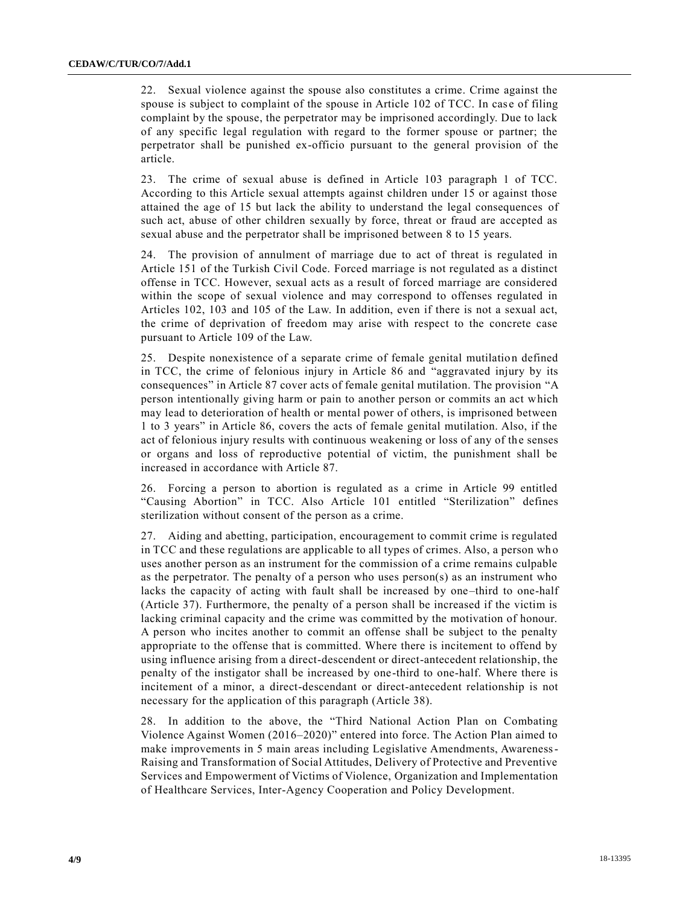22. Sexual violence against the spouse also constitutes a crime. Crime against the spouse is subject to complaint of the spouse in Article 102 of TCC. In case of filing complaint by the spouse, the perpetrator may be imprisoned accordingly. Due to lack of any specific legal regulation with regard to the former spouse or partner; the perpetrator shall be punished ex-officio pursuant to the general provision of the article.

23. The crime of sexual abuse is defined in Article 103 paragraph 1 of TCC. According to this Article sexual attempts against children under 15 or against those attained the age of 15 but lack the ability to understand the legal consequences of such act, abuse of other children sexually by force, threat or fraud are accepted as sexual abuse and the perpetrator shall be imprisoned between 8 to 15 years.

24. The provision of annulment of marriage due to act of threat is regulated in Article 151 of the Turkish Civil Code. Forced marriage is not regulated as a distinct offense in TCC. However, sexual acts as a result of forced marriage are considered within the scope of sexual violence and may correspond to offenses regulated in Articles 102, 103 and 105 of the Law. In addition, even if there is not a sexual act, the crime of deprivation of freedom may arise with respect to the concrete case pursuant to Article 109 of the Law.

25. Despite nonexistence of a separate crime of female genital mutilation defined in TCC, the crime of felonious injury in Article 86 and "aggravated injury by its consequences" in Article 87 cover acts of female genital mutilation. The provision "A person intentionally giving harm or pain to another person or commits an act which may lead to deterioration of health or mental power of others, is imprisoned between 1 to 3 years" in Article 86, covers the acts of female genital mutilation. Also, if the act of felonious injury results with continuous weakening or loss of any of the senses or organs and loss of reproductive potential of victim, the punishment shall be increased in accordance with Article 87.

26. Forcing a person to abortion is regulated as a crime in Article 99 entitled "Causing Abortion" in TCC. Also Article 101 entitled "Sterilization" defines sterilization without consent of the person as a crime.

27. Aiding and abetting, participation, encouragement to commit crime is regulated in TCC and these regulations are applicable to all types of crimes. Also, a person wh o uses another person as an instrument for the commission of a crime remains culpable as the perpetrator. The penalty of a person who uses person(s) as an instrument who lacks the capacity of acting with fault shall be increased by one–third to one-half (Article 37). Furthermore, the penalty of a person shall be increased if the victim is lacking criminal capacity and the crime was committed by the motivation of honour. A person who incites another to commit an offense shall be subject to the penalty appropriate to the offense that is committed. Where there is incitement to offend by using influence arising from a direct-descendent or direct-antecedent relationship, the penalty of the instigator shall be increased by one-third to one-half. Where there is incitement of a minor, a direct-descendant or direct-antecedent relationship is not necessary for the application of this paragraph (Article 38).

28. In addition to the above, the "Third National Action Plan on Combating Violence Against Women (2016–2020)" entered into force. The Action Plan aimed to make improvements in 5 main areas including Legislative Amendments, Awareness-Raising and Transformation of Social Attitudes, Delivery of Protective and Preventive Services and Empowerment of Victims of Violence, Organization and Implementation of Healthcare Services, Inter-Agency Cooperation and Policy Development.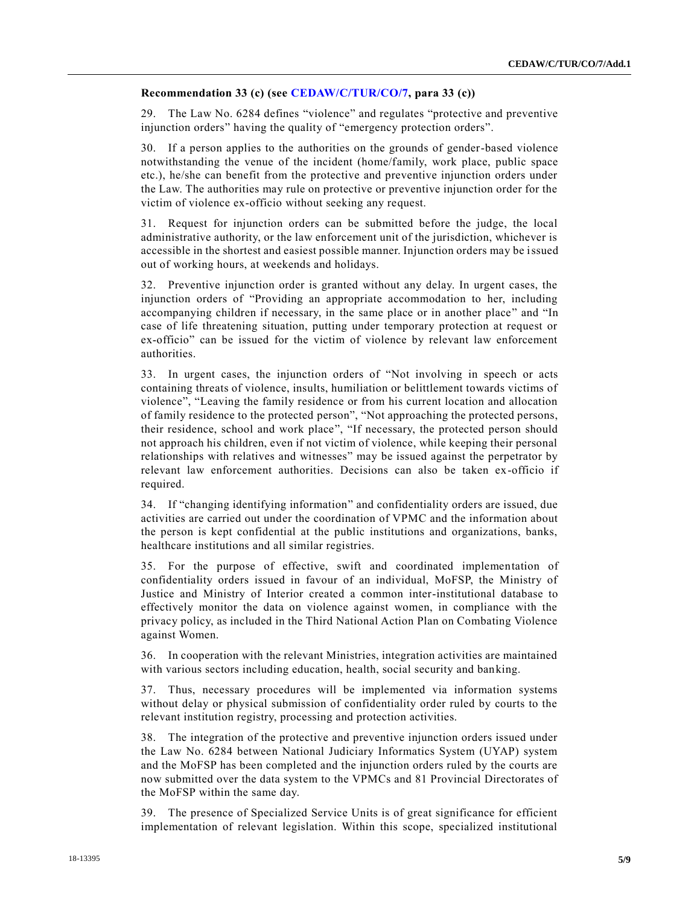#### **Recommendation 33 (c) (see [CEDAW/C/TUR/CO/7,](https://undocs.org/CEDAW/C/TUR/CO/7) para 33 (c))**

29. The Law No. 6284 defines "violence" and regulates "protective and preventive injunction orders" having the quality of "emergency protection orders".

30. If a person applies to the authorities on the grounds of gender-based violence notwithstanding the venue of the incident (home/family, work place, public space etc.), he/she can benefit from the protective and preventive injunction orders under the Law. The authorities may rule on protective or preventive injunction order for the victim of violence ex-officio without seeking any request.

31. Request for injunction orders can be submitted before the judge, the local administrative authority, or the law enforcement unit of the jurisdiction, whichever is accessible in the shortest and easiest possible manner. Injunction orders may be issued out of working hours, at weekends and holidays.

32. Preventive injunction order is granted without any delay. In urgent cases, the injunction orders of "Providing an appropriate accommodation to her, including accompanying children if necessary, in the same place or in another place" and "In case of life threatening situation, putting under temporary protection at request or ex-officio" can be issued for the victim of violence by relevant law enforcement authorities.

33. In urgent cases, the injunction orders of "Not involving in speech or acts containing threats of violence, insults, humiliation or belittlement towards victims of violence", "Leaving the family residence or from his current location and allocation of family residence to the protected person", "Not approaching the protected persons, their residence, school and work place", "If necessary, the protected person should not approach his children, even if not victim of violence, while keeping their personal relationships with relatives and witnesses" may be issued against the perpetrator by relevant law enforcement authorities. Decisions can also be taken ex-officio if required.

34. If "changing identifying information" and confidentiality orders are issued, due activities are carried out under the coordination of VPMC and the information about the person is kept confidential at the public institutions and organizations, banks, healthcare institutions and all similar registries.

35. For the purpose of effective, swift and coordinated implementation of confidentiality orders issued in favour of an individual, MoFSP, the Ministry of Justice and Ministry of Interior created a common inter-institutional database to effectively monitor the data on violence against women, in compliance with the privacy policy, as included in the Third National Action Plan on Combating Violence against Women.

36. In cooperation with the relevant Ministries, integration activities are maintained with various sectors including education, health, social security and banking.

37. Thus, necessary procedures will be implemented via information systems without delay or physical submission of confidentiality order ruled by courts to the relevant institution registry, processing and protection activities.

38. The integration of the protective and preventive injunction orders issued under the Law No. 6284 between National Judiciary Informatics System (UYAP) system and the MoFSP has been completed and the injunction orders ruled by the courts are now submitted over the data system to the VPMCs and 81 Provincial Directorates of the MoFSP within the same day.

39. The presence of Specialized Service Units is of great significance for efficient implementation of relevant legislation. Within this scope, specialized institutional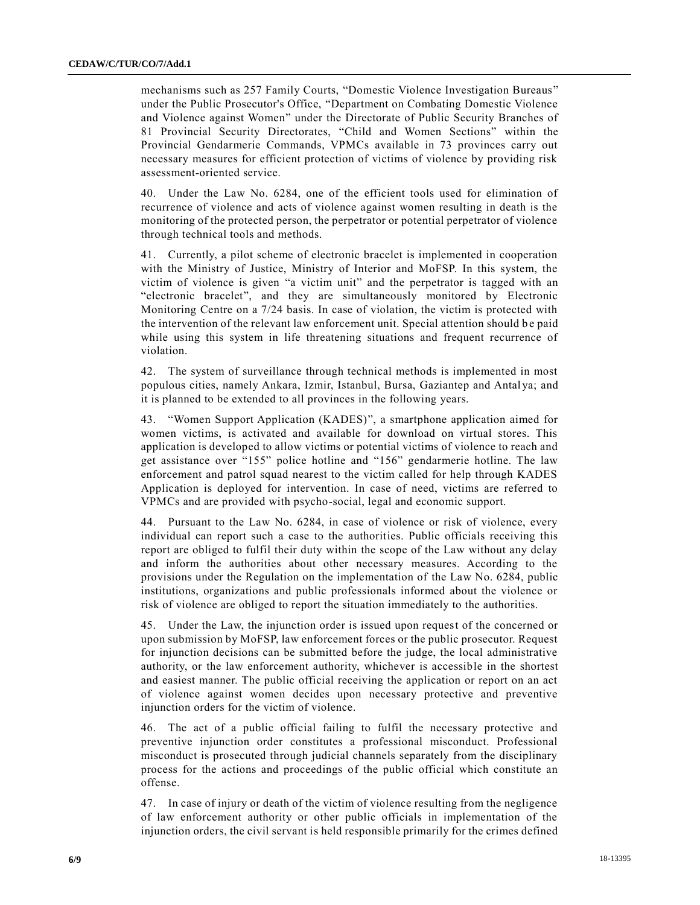mechanisms such as 257 Family Courts, "Domestic Violence Investigation Bureaus" under the Public Prosecutor's Office, "Department on Combating Domestic Violence and Violence against Women" under the Directorate of Public Security Branches of 81 Provincial Security Directorates, "Child and Women Sections" within the Provincial Gendarmerie Commands, VPMCs available in 73 provinces carry out necessary measures for efficient protection of victims of violence by providing risk assessment-oriented service.

40. Under the Law No. 6284, one of the efficient tools used for elimination of recurrence of violence and acts of violence against women resulting in death is the monitoring of the protected person, the perpetrator or potential perpetrator of violence through technical tools and methods.

41. Currently, a pilot scheme of electronic bracelet is implemented in cooperation with the Ministry of Justice, Ministry of Interior and MoFSP. In this system, the victim of violence is given "a victim unit" and the perpetrator is tagged with an "electronic bracelet", and they are simultaneously monitored by Electronic Monitoring Centre on a 7/24 basis. In case of violation, the victim is protected with the intervention of the relevant law enforcement unit. Special attention should be paid while using this system in life threatening situations and frequent recurrence of violation.

42. The system of surveillance through technical methods is implemented in most populous cities, namely Ankara, Izmir, Istanbul, Bursa, Gaziantep and Antal ya; and it is planned to be extended to all provinces in the following years.

43. "Women Support Application (KADES)", a smartphone application aimed for women victims, is activated and available for download on virtual stores. This application is developed to allow victims or potential victims of violence to reach and get assistance over "155" police hotline and "156" gendarmerie hotline. The law enforcement and patrol squad nearest to the victim called for help through KADES Application is deployed for intervention. In case of need, victims are referred to VPMCs and are provided with psycho-social, legal and economic support.

44. Pursuant to the Law No. 6284, in case of violence or risk of violence, every individual can report such a case to the authorities. Public officials receiving this report are obliged to fulfil their duty within the scope of the Law without any delay and inform the authorities about other necessary measures. According to the provisions under the Regulation on the implementation of the Law No. 6284, public institutions, organizations and public professionals informed about the violence or risk of violence are obliged to report the situation immediately to the authorities.

45. Under the Law, the injunction order is issued upon request of the concerned or upon submission by MoFSP, law enforcement forces or the public prosecutor. Request for injunction decisions can be submitted before the judge, the local administrative authority, or the law enforcement authority, whichever is accessible in the shortest and easiest manner. The public official receiving the application or report on an act of violence against women decides upon necessary protective and preventive injunction orders for the victim of violence.

46. The act of a public official failing to fulfil the necessary protective and preventive injunction order constitutes a professional misconduct. Professional misconduct is prosecuted through judicial channels separately from the disciplinary process for the actions and proceedings of the public official which constitute an offense.

47. In case of injury or death of the victim of violence resulting from the negligence of law enforcement authority or other public officials in implementation of the injunction orders, the civil servant is held responsible primarily for the crimes defined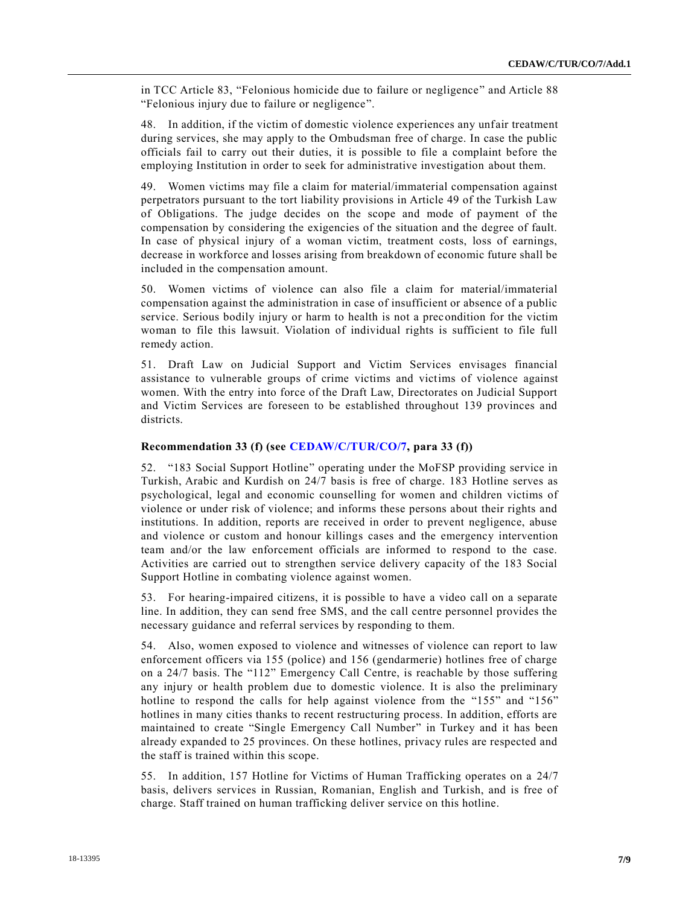in TCC Article 83, "Felonious homicide due to failure or negligence" and Article 88 "Felonious injury due to failure or negligence".

48. In addition, if the victim of domestic violence experiences any unfair treatment during services, she may apply to the Ombudsman free of charge. In case the public officials fail to carry out their duties, it is possible to file a complaint before the employing Institution in order to seek for administrative investigation about them.

49. Women victims may file a claim for material/immaterial compensation against perpetrators pursuant to the tort liability provisions in Article 49 of the Turkish Law of Obligations. The judge decides on the scope and mode of payment of the compensation by considering the exigencies of the situation and the degree of fault. In case of physical injury of a woman victim, treatment costs, loss of earnings, decrease in workforce and losses arising from breakdown of economic future shall be included in the compensation amount.

50. Women victims of violence can also file a claim for material/immaterial compensation against the administration in case of insufficient or absence of a public service. Serious bodily injury or harm to health is not a precondition for the victim woman to file this lawsuit. Violation of individual rights is sufficient to file full remedy action.

51. Draft Law on Judicial Support and Victim Services envisages financial assistance to vulnerable groups of crime victims and victims of violence against women. With the entry into force of the Draft Law, Directorates on Judicial Support and Victim Services are foreseen to be established throughout 139 provinces and districts.

## **Recommendation 33 (f) (see [CEDAW/C/TUR/CO/7,](https://undocs.org/CEDAW/C/TUR/CO/7) para 33 (f))**

52. "183 Social Support Hotline" operating under the MoFSP providing service in Turkish, Arabic and Kurdish on 24/7 basis is free of charge. 183 Hotline serves as psychological, legal and economic counselling for women and children victims of violence or under risk of violence; and informs these persons about their rights and institutions. In addition, reports are received in order to prevent negligence, abuse and violence or custom and honour killings cases and the emergency intervention team and/or the law enforcement officials are informed to respond to the case. Activities are carried out to strengthen service delivery capacity of the 183 Social Support Hotline in combating violence against women.

53. For hearing-impaired citizens, it is possible to have a video call on a separate line. In addition, they can send free SMS, and the call centre personnel provides the necessary guidance and referral services by responding to them.

54. Also, women exposed to violence and witnesses of violence can report to law enforcement officers via 155 (police) and 156 (gendarmerie) hotlines free of charge on a 24/7 basis. The "112" Emergency Call Centre, is reachable by those suffering any injury or health problem due to domestic violence. It is also the preliminary hotline to respond the calls for help against violence from the "155" and "156" hotlines in many cities thanks to recent restructuring process. In addition, efforts are maintained to create "Single Emergency Call Number" in Turkey and it has been already expanded to 25 provinces. On these hotlines, privacy rules are respected and the staff is trained within this scope.

55. In addition, 157 Hotline for Victims of Human Trafficking operates on a 24/7 basis, delivers services in Russian, Romanian, English and Turkish, and is free of charge. Staff trained on human trafficking deliver service on this hotline.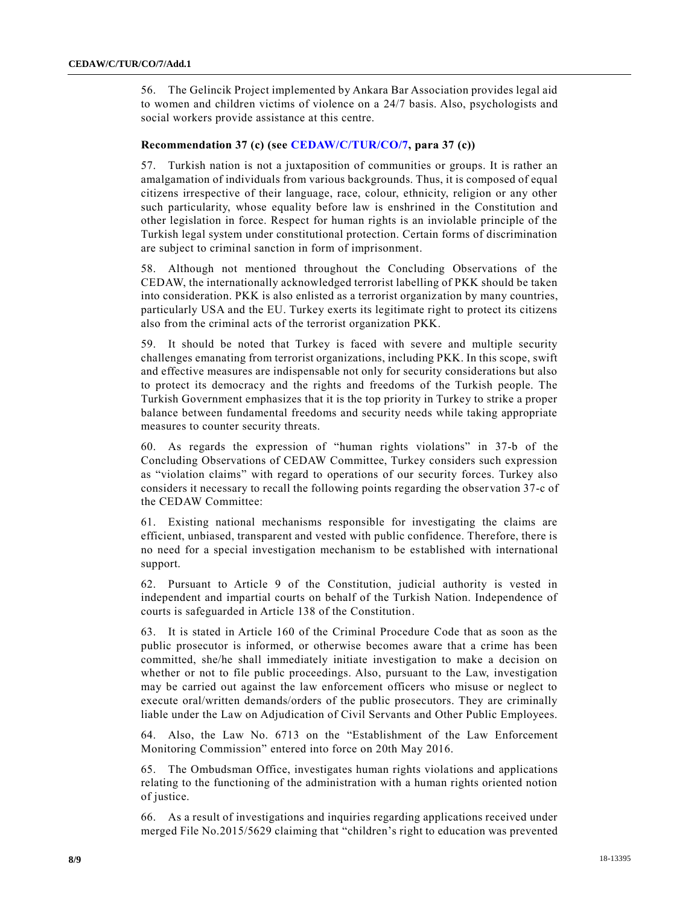56. The Gelincik Project implemented by Ankara Bar Association provides legal aid to women and children victims of violence on a 24/7 basis. Also, psychologists and social workers provide assistance at this centre.

#### **Recommendation 37 (c) (see [CEDAW/C/TUR/CO/7,](https://undocs.org/CEDAW/C/TUR/CO/7) para 37 (c))**

57. Turkish nation is not a juxtaposition of communities or groups. It is rather an amalgamation of individuals from various backgrounds. Thus, it is composed of equal citizens irrespective of their language, race, colour, ethnicity, religion or any other such particularity, whose equality before law is enshrined in the Constitution and other legislation in force. Respect for human rights is an inviolable principle of the Turkish legal system under constitutional protection. Certain forms of discrimination are subject to criminal sanction in form of imprisonment.

58. Although not mentioned throughout the Concluding Observations of the CEDAW, the internationally acknowledged terrorist labelling of PKK should be taken into consideration. PKK is also enlisted as a terrorist organization by many countries, particularly USA and the EU. Turkey exerts its legitimate right to protect its citizens also from the criminal acts of the terrorist organization PKK.

59. It should be noted that Turkey is faced with severe and multiple security challenges emanating from terrorist organizations, including PKK. In this scope, swift and effective measures are indispensable not only for security considerations but also to protect its democracy and the rights and freedoms of the Turkish people. The Turkish Government emphasizes that it is the top priority in Turkey to strike a proper balance between fundamental freedoms and security needs while taking appropriate measures to counter security threats.

60. As regards the expression of "human rights violations" in 37-b of the Concluding Observations of CEDAW Committee, Turkey considers such expression as "violation claims" with regard to operations of our security forces. Turkey also considers it necessary to recall the following points regarding the observation 37-c of the CEDAW Committee:

61. Existing national mechanisms responsible for investigating the claims are efficient, unbiased, transparent and vested with public confidence. Therefore, there is no need for a special investigation mechanism to be established with international support.

62. Pursuant to Article 9 of the Constitution, judicial authority is vested in independent and impartial courts on behalf of the Turkish Nation. Independence of courts is safeguarded in Article 138 of the Constitution.

63. It is stated in Article 160 of the Criminal Procedure Code that as soon as the public prosecutor is informed, or otherwise becomes aware that a crime has been committed, she/he shall immediately initiate investigation to make a decision on whether or not to file public proceedings. Also, pursuant to the Law, investigation may be carried out against the law enforcement officers who misuse or neglect to execute oral/written demands/orders of the public prosecutors. They are criminally liable under the Law on Adjudication of Civil Servants and Other Public Employees.

64. Also, the Law No. 6713 on the "Establishment of the Law Enforcement Monitoring Commission" entered into force on 20th May 2016.

65. The Ombudsman Office, investigates human rights violations and applications relating to the functioning of the administration with a human rights oriented notion of justice.

66. As a result of investigations and inquiries regarding applications received under merged File No.2015/5629 claiming that "children's right to education was prevented